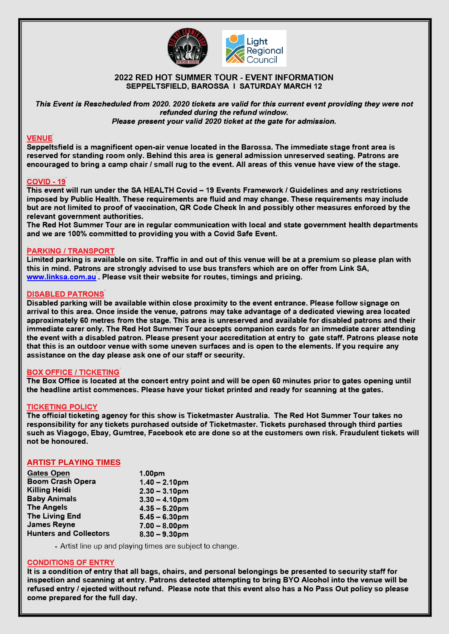



# **2022 RED HOT SUMMER TOUR - EVENT INFORMATION SEPPELTSFIELD, BAROSSA I SATURDAY MARCH 12**

*This Event is Rescheduled from 2020. 2020 tickets are valid for this current event providing they were not refunded during the refund window. Please present your valid 2020 ticket at the gate for admission.* 

## **VENUE**

**Seppeltsfield is a magnificent open-air venue located in the Barossa. The immediate stage front area is reserved for standing room only. Behind this area is general admission unreserved seating. Patrons are encouraged to bring a camp chair/ small rug to the event. All areas of this venue have view of the stage.** 

## **COVID -19**

This event will run under the SA HEALTH Covid - 19 Events Framework / Guidelines and any restrictions **imposed by Public Health. These requirements are fluid and may change. These requirements may include but are not limited to proof of vaccination, QR Code Check In and possibly other measures enforced by the relevant government authorities.** 

**The Red Hot Summer Tour are in regular communication with local and state government health departments and we are 100% committed to providing you with a Covid Safe Event.** 

## **PARKING / TRANSPORT**

**Limited parking is available on site. Traffic in and out of this venue will be at a premium so please plan with this in mind. Patrons are strongly advised to use bus transfers which are on offer from Link SA, <www.linksa.com.au> . Please vsit their website for routes, timings and pricing.** 

## **DISABLED PATRONS**

**Disabled parking will be available within close proximity to the event entrance. Please follow signage on arrival to this area. Once inside the venue, patrons may take advantage of a dedicated viewing area located approximately 60 metres from the stage. This area is unreserved and available for disabled patrons and their immediate carer only. The Red Hot Summer Tour accepts companion cards for an immediate carer attending the event with a disabled patron. Please present your accreditation at entry to gate staff. Patrons please note that this is an outdoor venue with some uneven surfaces and is open to the elements. If you require any assistance on the day please ask one of our staff or security.** 

#### **BOX OFFICE / TICKETING**

**The Box Office is located at the concert entry point and will be open 60 minutes prior to gates opening until the headline artist commences. Please have your ticket printed and ready for scanning at the gates.** 

#### **TICKETING POLICY**

**The official ticketing agency for this show is Ticketmaster Australia. The Red Hot Summer Tour takes no responsibility for any tickets purchased outside of Ticketmaster. Tickets purchased through third parties such as Viagogo, Ebay, Gumtree, Facebook etc are done so at the customers own risk. Fraudulent tickets will not be honoured.** 

#### **ARTIST PLAYING TIMES**

| <b>Gates Open</b>             | 1.00pm           |
|-------------------------------|------------------|
| <b>Boom Crash Opera</b>       | $1.40 - 2.10$ pm |
| <b>Killing Heidi</b>          | $2.30 - 3.10$ pm |
| <b>Baby Animals</b>           | $3.30 - 4.10$ pm |
| <b>The Angels</b>             | $4.35 - 5.20$ pm |
| <b>The Living End</b>         | $5.45 - 6.30$ pm |
| <b>James Reyne</b>            | $7.00 - 8.00$ pm |
| <b>Hunters and Collectors</b> | $8.30 - 9.30$ pm |

**Artist line up and playing times are subject to change.** 

#### **CONDITIONS OF ENTRY**

**It is a condition of entry that all bags, chairs, and personal belongings be presented to security staff for inspection and scanning at entry. Patrons detected attempting to bring BYO Alcohol into the venue will be refused entry** *I* **ejected without refund. Please note that this event also has a No Pass Out policy so please come prepared for the full day.**